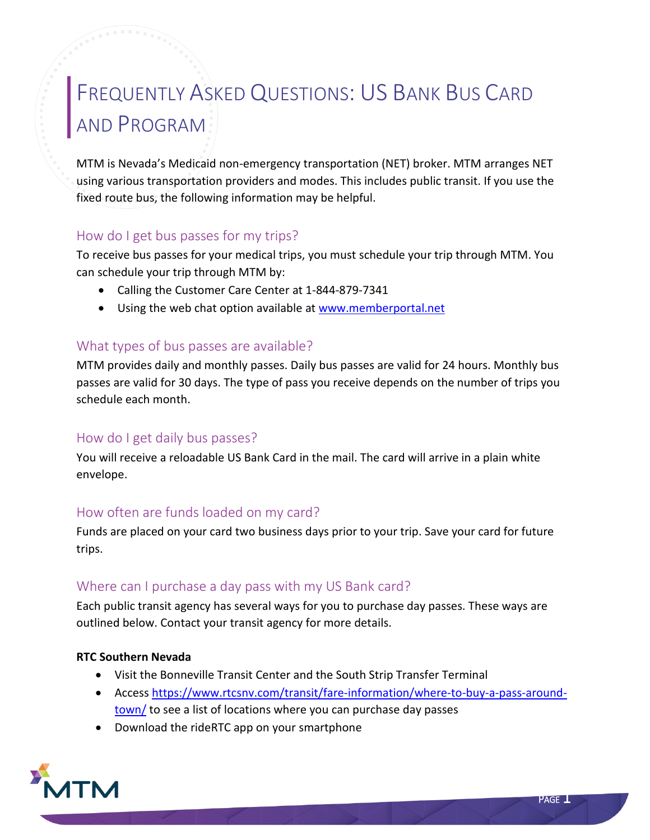# FREQUENTLY ASKED QUESTIONS: US BANK BUS CARD AND PROGRAM

MTM is Nevada's Medicaid non-emergency transportation (NET) broker. MTM arranges NET using various transportation providers and modes. This includes public transit. If you use the fixed route bus, the following information may be helpful.

# How do I get bus passes for my trips?

To receive bus passes for your medical trips, you must schedule your trip through MTM. You can schedule your trip through MTM by:

- Calling the Customer Care Center at 1-844-879-7341
- Using the web chat option available at [www.memberportal.net](http://www.memberportal.net/)

# What types of bus passes are available?

MTM provides daily and monthly passes. Daily bus passes are valid for 24 hours. Monthly bus passes are valid for 30 days. The type of pass you receive depends on the number of trips you schedule each month.

# How do I get daily bus passes?

You will receive a reloadable US Bank Card in the mail. The card will arrive in a plain white envelope.

# How often are funds loaded on my card?

Funds are placed on your card two business days prior to your trip. Save your card for future trips.

# Where can I purchase a day pass with my US Bank card?

Each public transit agency has several ways for you to purchase day passes. These ways are outlined below. Contact your transit agency for more details.

#### **RTC Southern Nevada**

- Visit the Bonneville Transit Center and the South Strip Transfer Terminal
- Access [https://www.rtcsnv.com/transit/fare-information/where-to-buy-a-pass-around](https://www.rtcsnv.com/transit/fare-information/where-to-buy-a-pass-around-town/)[town/](https://www.rtcsnv.com/transit/fare-information/where-to-buy-a-pass-around-town/) to see a list of locations where you can purchase day passes
- Download the rideRTC app on your smartphone

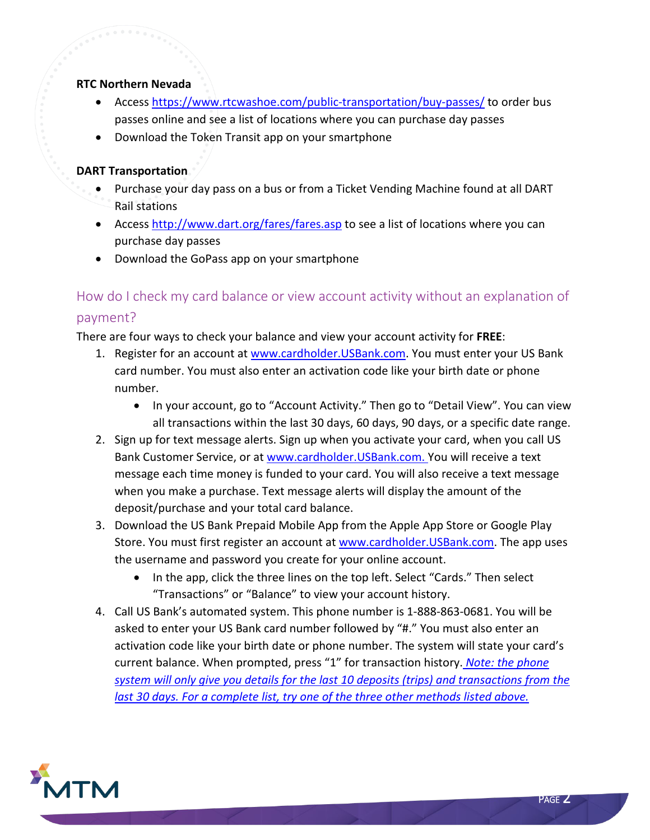#### **RTC Northern Nevada**

- Access<https://www.rtcwashoe.com/public-transportation/buy-passes/> to order bus passes online and see a list of locations where you can purchase day passes
- Download the Token Transit app on your smartphone

#### **DART Transportation**

- Purchase your day pass on a bus or from a Ticket Vending Machine found at all DART Rail stations
- Access<http://www.dart.org/fares/fares.asp> to see a list of locations where you can purchase day passes
- Download the GoPass app on your smartphone

# How do I check my card balance or view account activity without an explanation of payment?

There are four ways to check your balance and view your account activity for **FREE**:

- 1. Register for an account at [www.cardholder.USBank.com.](http://www.cardholder.usbank.com/) You must enter your US Bank card number. You must also enter an activation code like your birth date or phone number.
	- In your account, go to "Account Activity." Then go to "Detail View". You can view all transactions within the last 30 days, 60 days, 90 days, or a specific date range.
- 2. Sign up for text message alerts. Sign up when you activate your card, when you call US Bank Customer Service, or at www.cardholder.USBank.com. You will receive a text message each time money is funded to your card. You will also receive a text message when you make a purchase. Text message alerts will display the amount of the deposit/purchase and your total card balance.
- 3. Download the US Bank Prepaid Mobile App from the Apple App Store or Google Play Store. You must first register an account at www.cardholder. USBank.com. The app uses the username and password you create for your online account.
	- In the app, click the three lines on the top left. Select "Cards." Then select "Transactions" or "Balance" to view your account history.
- 4. Call US Bank's automated system. This phone number is 1-888-863-0681. You will be asked to enter your US Bank card number followed by "#." You must also enter an activation code like your birth date or phone number. The system will state your card's current balance. When prompted, press "1" for transaction history. *Note: the phone system will only give you details for the last 10 deposits (trips) and transactions from the last 30 days. For a complete list, try one of the three other methods listed above.*